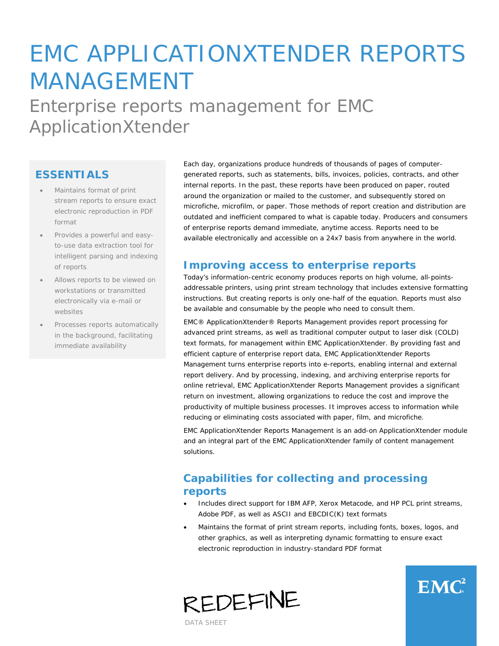# EMC APPLICATIONXTENDER REPORTS MANAGEMENT Enterprise reports management for EMC ApplicationXtender

### **ESSENTIALS**

- Maintains format of print stream reports to ensure exact electronic reproduction in PDF format
- Provides a powerful and easyto-use data extraction tool for intelligent parsing and indexing of reports
- Allows reports to be viewed on workstations or transmitted electronically via e-mail or websites
- Processes reports automatically in the background, facilitating immediate availability

Each day, organizations produce hundreds of thousands of pages of computergenerated reports, such as statements, bills, invoices, policies, contracts, and other internal reports. In the past, these reports have been produced on paper, routed around the organization or mailed to the customer, and subsequently stored on microfiche, microfilm, or paper. Those methods of report creation and distribution are outdated and inefficient compared to what is capable today. Producers and consumers of enterprise reports demand immediate, anytime access. Reports need to be available electronically and accessible on a 24x7 basis from anywhere in the world.

#### **Improving access to enterprise reports**

Today's information-centric economy produces reports on high volume, all-pointsaddressable printers, using print stream technology that includes extensive formatting instructions. But creating reports is only one-half of the equation. Reports must also be available and consumable by the people who need to consult them.

EMC® ApplicationXtender® Reports Management provides report processing for advanced print streams, as well as traditional computer output to laser disk (COLD) text formats, for management within EMC ApplicationXtender. By providing fast and efficient capture of enterprise report data, EMC ApplicationXtender Reports Management turns enterprise reports into e-reports, enabling internal and external report delivery. And by processing, indexing, and archiving enterprise reports for online retrieval, EMC ApplicationXtender Reports Management provides a significant return on investment, allowing organizations to reduce the cost and improve the productivity of multiple business processes. It improves access to information while reducing or eliminating costs associated with paper, film, and microfiche.

EMC ApplicationXtender Reports Management is an add-on ApplicationXtender module and an integral part of the EMC ApplicationXtender family of content management solutions.

# **Capabilities for collecting and processing reports**

- Includes direct support for IBM AFP, Xerox Metacode, and HP PCL print streams, Adobe PDF, as well as ASCII and EBCDIC(K) text formats
- Maintains the format of print stream reports, including fonts, boxes, logos, and other graphics, as well as interpreting dynamic formatting to ensure exact electronic reproduction in industry-standard PDF format

 $EMC<sup>2</sup>$ 



DATA SHEET